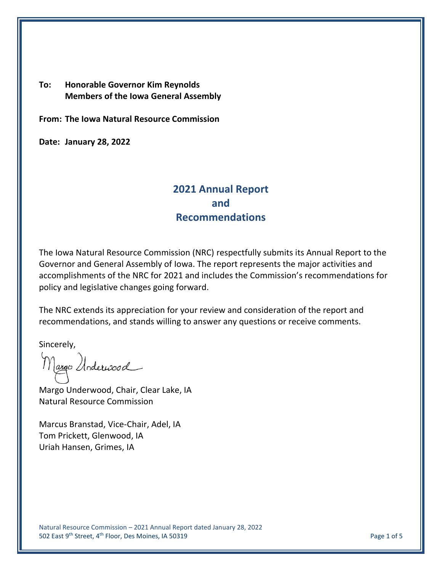## **To: Honorable Governor Kim Reynolds Members of the Iowa General Assembly**

**From: The Iowa Natural Resource Commission**

**Date: January 28, 2022**

# **2021 Annual Report and Recommendations**

The Iowa Natural Resource Commission (NRC) respectfully submits its Annual Report to the Governor and General Assembly of Iowa. The report represents the major activities and accomplishments of the NRC for 2021 and includes the Commission's recommendations for policy and legislative changes going forward.

The NRC extends its appreciation for your review and consideration of the report and recommendations, and stands willing to answer any questions or receive comments.

Sincerely,

Margo Underwood

Margo Underwood, Chair, Clear Lake, IA Natural Resource Commission

Marcus Branstad, Vice-Chair, Adel, IA Tom Prickett, Glenwood, IA Uriah Hansen, Grimes, IA

Natural Resource Commission – 2021 Annual Report dated January 28, 2022 502 East 9<sup>th</sup> Street, 4<sup>th</sup> Floor, Des Moines, IA 50319 Page 1 of 5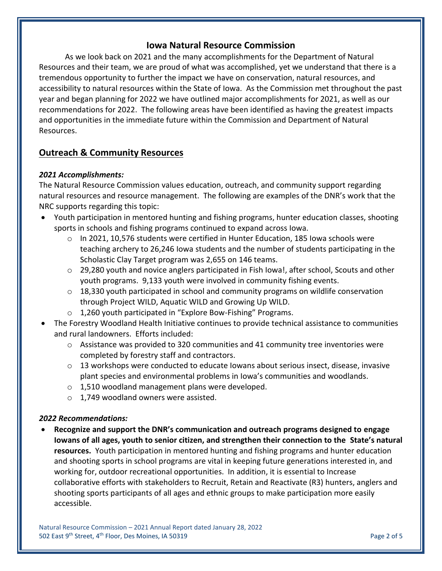## **Iowa Natural Resource Commission**

As we look back on 2021 and the many accomplishments for the Department of Natural Resources and their team, we are proud of what was accomplished, yet we understand that there is a tremendous opportunity to further the impact we have on conservation, natural resources, and accessibility to natural resources within the State of Iowa. As the Commission met throughout the past year and began planning for 2022 we have outlined major accomplishments for 2021, as well as our recommendations for 2022. The following areas have been identified as having the greatest impacts and opportunities in the immediate future within the Commission and Department of Natural Resources.

## **Outreach & Community Resources**

## *2021 Accomplishments:*

The Natural Resource Commission values education, outreach, and community support regarding natural resources and resource management. The following are examples of the DNR's work that the NRC supports regarding this topic:

- Youth participation in mentored hunting and fishing programs, hunter education classes, shooting sports in schools and fishing programs continued to expand across Iowa.
	- $\circ$  In 2021, 10,576 students were certified in Hunter Education, 185 Iowa schools were teaching archery to 26,246 Iowa students and the number of students participating in the Scholastic Clay Target program was 2,655 on 146 teams.
	- $\circ$  29,280 youth and novice anglers participated in Fish Iowa!, after school, Scouts and other youth programs. 9,133 youth were involved in community fishing events.
	- $\circ$  18,330 youth participated in school and community programs on wildlife conservation through Project WILD, Aquatic WILD and Growing Up WILD.
	- o 1,260 youth participated in "Explore Bow-Fishing" Programs.
- The Forestry Woodland Health Initiative continues to provide technical assistance to communities and rural landowners. Efforts included:
	- o Assistance was provided to 320 communities and 41 community tree inventories were completed by forestry staff and contractors.
	- $\circ$  13 workshops were conducted to educate Iowans about serious insect, disease, invasive plant species and environmental problems in Iowa's communities and woodlands.
	- o 1,510 woodland management plans were developed.
	- o 1,749 woodland owners were assisted.

### *2022 Recommendations:*

 **Recognize and support the DNR's communication and outreach programs designed to engage Iowans of all ages, youth to senior citizen, and strengthen their connection to the State's natural resources.** Youth participation in mentored hunting and fishing programs and hunter education and shooting sports in school programs are vital in keeping future generations interested in, and working for, outdoor recreational opportunities. In addition, it is essential to Increase collaborative efforts with stakeholders to Recruit, Retain and Reactivate (R3) hunters, anglers and shooting sports participants of all ages and ethnic groups to make participation more easily accessible.

Natural Resource Commission – 2021 Annual Report dated January 28, 2022 502 East 9<sup>th</sup> Street, 4<sup>th</sup> Floor, Des Moines, IA 50319 Page 2 of 5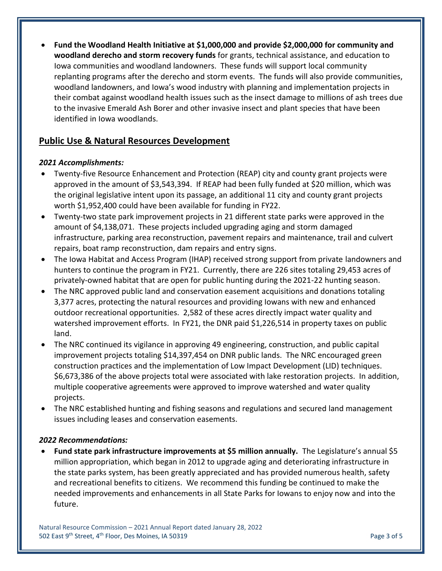**Fund the Woodland Health Initiative at \$1,000,000 and provide \$2,000,000 for community and woodland derecho and storm recovery funds** for grants, technical assistance, and education to Iowa communities and woodland landowners. These funds will support local community replanting programs after the derecho and storm events. The funds will also provide communities, woodland landowners, and Iowa's wood industry with planning and implementation projects in their combat against woodland health issues such as the insect damage to millions of ash trees due to the invasive Emerald Ash Borer and other invasive insect and plant species that have been identified in Iowa woodlands.

## **Public Use & Natural Resources Development**

### *2021 Accomplishments:*

- Twenty-five Resource Enhancement and Protection (REAP) city and county grant projects were approved in the amount of \$3,543,394. If REAP had been fully funded at \$20 million, which was the original legislative intent upon its passage, an additional 11 city and county grant projects worth \$1,952,400 could have been available for funding in FY22.
- Twenty-two state park improvement projects in 21 different state parks were approved in the amount of \$4,138,071. These projects included upgrading aging and storm damaged infrastructure, parking area reconstruction, pavement repairs and maintenance, trail and culvert repairs, boat ramp reconstruction, dam repairs and entry signs.
- The Iowa Habitat and Access Program (IHAP) received strong support from private landowners and hunters to continue the program in FY21. Currently, there are 226 sites totaling 29,453 acres of privately-owned habitat that are open for public hunting during the 2021-22 hunting season.
- The NRC approved public land and conservation easement acquisitions and donations totaling 3,377 acres, protecting the natural resources and providing Iowans with new and enhanced outdoor recreational opportunities. 2,582 of these acres directly impact water quality and watershed improvement efforts. In FY21, the DNR paid \$1,226,514 in property taxes on public land.
- The NRC continued its vigilance in approving 49 engineering, construction, and public capital improvement projects totaling \$14,397,454 on DNR public lands. The NRC encouraged green construction practices and the implementation of Low Impact Development (LID) techniques. \$6,673,386 of the above projects total were associated with lake restoration projects. In addition, multiple cooperative agreements were approved to improve watershed and water quality projects.
- The NRC established hunting and fishing seasons and regulations and secured land management issues including leases and conservation easements.

#### *2022 Recommendations:*

 **Fund state park infrastructure improvements at \$5 million annually.** The Legislature's annual \$5 million appropriation, which began in 2012 to upgrade aging and deteriorating infrastructure in the state parks system, has been greatly appreciated and has provided numerous health, safety and recreational benefits to citizens. We recommend this funding be continued to make the needed improvements and enhancements in all State Parks for Iowans to enjoy now and into the future.

Natural Resource Commission – 2021 Annual Report dated January 28, 2022 502 East 9<sup>th</sup> Street, 4<sup>th</sup> Floor, Des Moines, IA 50319 **Page 3 of 5** Page 3 of 5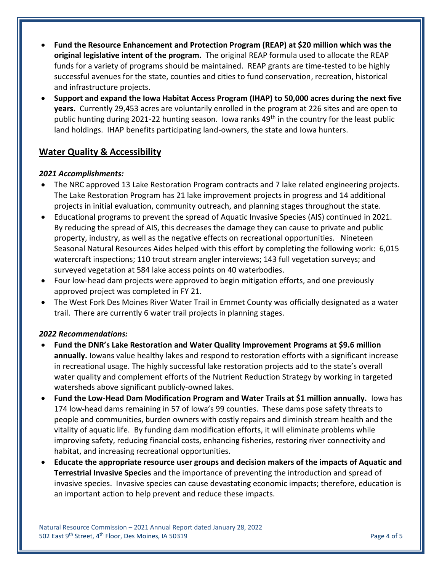- **Fund the Resource Enhancement and Protection Program (REAP) at \$20 million which was the original legislative intent of the program.** The original REAP formula used to allocate the REAP funds for a variety of programs should be maintained. REAP grants are time-tested to be highly successful avenues for the state, counties and cities to fund conservation, recreation, historical and infrastructure projects.
- **Support and expand the Iowa Habitat Access Program (IHAP) to 50,000 acres during the next five years.** Currently 29,453 acres are voluntarily enrolled in the program at 226 sites and are open to public hunting during 2021-22 hunting season. Iowa ranks 49<sup>th</sup> in the country for the least public land holdings. IHAP benefits participating land-owners, the state and Iowa hunters.

## **Water Quality & Accessibility**

## *2021 Accomplishments:*

- The NRC approved 13 Lake Restoration Program contracts and 7 lake related engineering projects. The Lake Restoration Program has 21 lake improvement projects in progress and 14 additional projects in initial evaluation, community outreach, and planning stages throughout the state.
- Educational programs to prevent the spread of Aquatic Invasive Species (AIS) continued in 2021. By reducing the spread of AIS, this decreases the damage they can cause to private and public property, industry, as well as the negative effects on recreational opportunities. Nineteen Seasonal Natural Resources Aides helped with this effort by completing the following work: 6,015 watercraft inspections; 110 trout stream angler interviews; 143 full vegetation surveys; and surveyed vegetation at 584 lake access points on 40 waterbodies.
- Four low-head dam projects were approved to begin mitigation efforts, and one previously approved project was completed in FY 21.
- The West Fork Des Moines River Water Trail in Emmet County was officially designated as a water trail. There are currently 6 water trail projects in planning stages.

### *2022 Recommendations:*

- **Fund the DNR's Lake Restoration and Water Quality Improvement Programs at \$9.6 million annually.** Iowans value healthy lakes and respond to restoration efforts with a significant increase in recreational usage. The highly successful lake restoration projects add to the state's overall water quality and complement efforts of the Nutrient Reduction Strategy by working in targeted watersheds above significant publicly-owned lakes.
- **Fund the Low-Head Dam Modification Program and Water Trails at \$1 million annually.** Iowa has 174 low-head dams remaining in 57 of Iowa's 99 counties. These dams pose safety threats to people and communities, burden owners with costly repairs and diminish stream health and the vitality of aquatic life. By funding dam modification efforts, it will eliminate problems while improving safety, reducing financial costs, enhancing fisheries, restoring river connectivity and habitat, and increasing recreational opportunities.
- **Educate the appropriate resource user groups and decision makers of the impacts of Aquatic and Terrestrial Invasive Species** and the importance of preventing the introduction and spread of invasive species. Invasive species can cause devastating economic impacts; therefore, education is an important action to help prevent and reduce these impacts.